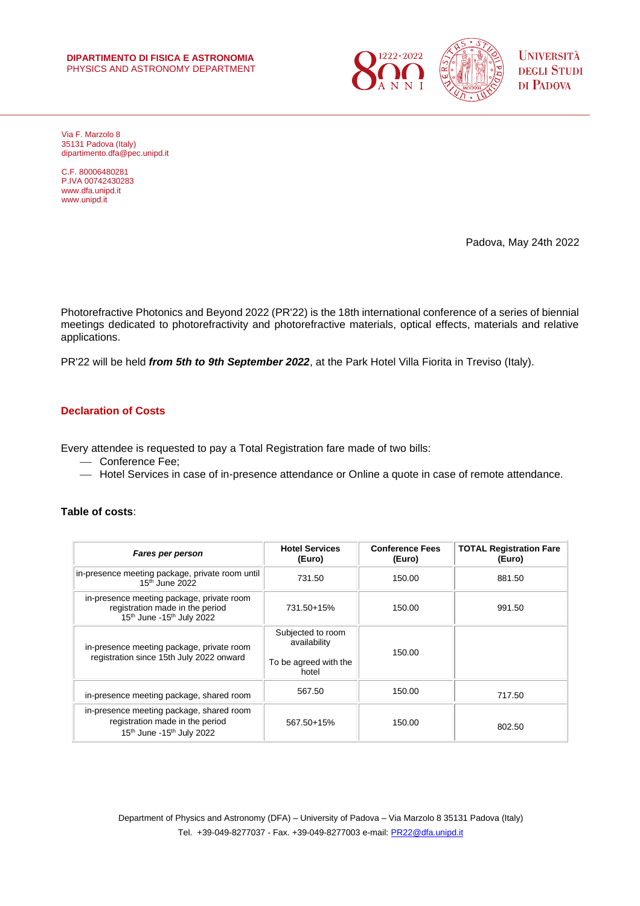#### **DIPARTIMENTO DI FISICA E ASTRONOMIA** PHYSICS AND ASTRONOMY DEPARTMENT



Via F. Marzolo 8 35131 Padova (Italy) dipartimento.dfa@pec.unipd.it

C.F. 80006480281 P.IVA 00742430283 www.dfa.unipd.it www.unipd.it

Padova, May 24th 2022

Photorefractive Photonics and Beyond 2022 (PR'22) is the 18th international conference of a series of biennial meetings dedicated to photorefractivity and photorefractive materials, optical effects, materials and relative applications.

PR'22 will be held *from 5th to 9th September 2022*, at the Park Hotel Villa Fiorita in Treviso (Italy).

# **Declaration of Costs**

Every attendee is requested to pay a Total Registration fare made of two bills:

- Conference Fee;
- ⎯ Hotel Services in case of in-presence attendance or Online a quote in case of remote attendance.

## **Table of costs**:

| Fares per person                                                                                                                  | <b>Hotel Services</b><br>(Euro)                                     | <b>Conference Fees</b><br>(Euro) | <b>TOTAL Registration Fare</b><br>(Euro) |
|-----------------------------------------------------------------------------------------------------------------------------------|---------------------------------------------------------------------|----------------------------------|------------------------------------------|
| in-presence meeting package, private room until<br>$15th$ June 2022                                                               | 731.50                                                              | 150.00                           | 881.50                                   |
| in-presence meeting package, private room<br>registration made in the period<br>15 <sup>th</sup> June -15 <sup>th</sup> July 2022 | 731.50+15%                                                          | 150.00                           | 991.50                                   |
| in-presence meeting package, private room<br>registration since 15th July 2022 onward                                             | Subjected to room<br>availability<br>To be agreed with the<br>hotel | 150.00                           |                                          |
| in-presence meeting package, shared room                                                                                          | 567.50                                                              | 150.00                           | 717.50                                   |
| in-presence meeting package, shared room<br>registration made in the period<br>15 <sup>th</sup> June -15 <sup>th</sup> July 2022  | 567.50+15%                                                          | 150.00                           | 802.50                                   |